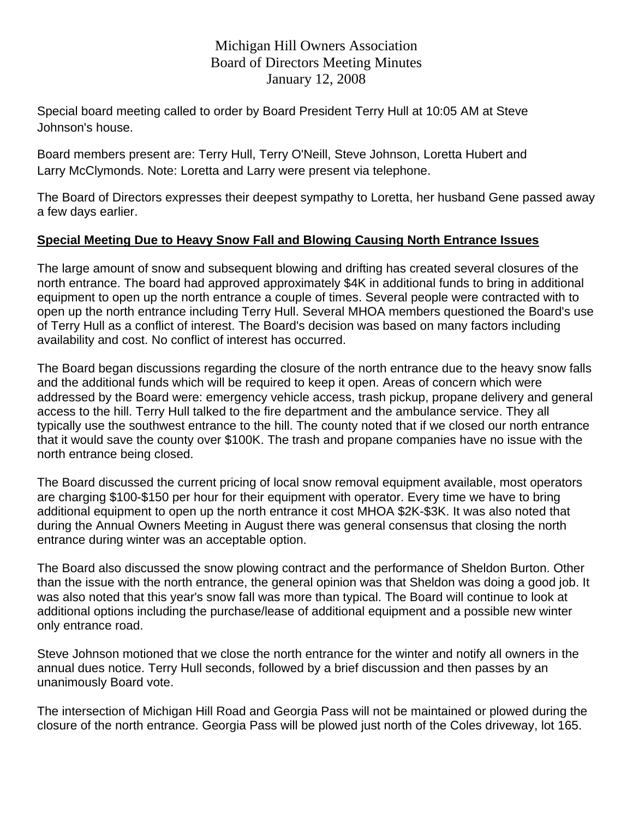## Michigan Hill Owners Association Board of Directors Meeting Minutes January 12, 2008

Special board meeting called to order by Board President Terry Hull at 10:05 AM at Steve Johnson's house.

Board members present are: Terry Hull, Terry O'Neill, Steve Johnson, Loretta Hubert and Larry McClymonds. Note: Loretta and Larry were present via telephone.

The Board of Directors expresses their deepest sympathy to Loretta, her husband Gene passed away a few days earlier.

## **Special Meeting Due to Heavy Snow Fall and Blowing Causing North Entrance Issues**

The large amount of snow and subsequent blowing and drifting has created several closures of the north entrance. The board had approved approximately \$4K in additional funds to bring in additional equipment to open up the north entrance a couple of times. Several people were contracted with to open up the north entrance including Terry Hull. Several MHOA members questioned the Board's use of Terry Hull as a conflict of interest. The Board's decision was based on many factors including availability and cost. No conflict of interest has occurred.

The Board began discussions regarding the closure of the north entrance due to the heavy snow falls and the additional funds which will be required to keep it open. Areas of concern which were addressed by the Board were: emergency vehicle access, trash pickup, propane delivery and general access to the hill. Terry Hull talked to the fire department and the ambulance service. They all typically use the southwest entrance to the hill. The county noted that if we closed our north entrance that it would save the county over \$100K. The trash and propane companies have no issue with the north entrance being closed.

The Board discussed the current pricing of local snow removal equipment available, most operators are charging \$100-\$150 per hour for their equipment with operator. Every time we have to bring additional equipment to open up the north entrance it cost MHOA \$2K-\$3K. It was also noted that during the Annual Owners Meeting in August there was general consensus that closing the north entrance during winter was an acceptable option.

The Board also discussed the snow plowing contract and the performance of Sheldon Burton. Other than the issue with the north entrance, the general opinion was that Sheldon was doing a good job. It was also noted that this year's snow fall was more than typical. The Board will continue to look at additional options including the purchase/lease of additional equipment and a possible new winter only entrance road.

Steve Johnson motioned that we close the north entrance for the winter and notify all owners in the annual dues notice. Terry Hull seconds, followed by a brief discussion and then passes by an unanimously Board vote.

The intersection of Michigan Hill Road and Georgia Pass will not be maintained or plowed during the closure of the north entrance. Georgia Pass will be plowed just north of the Coles driveway, lot 165.